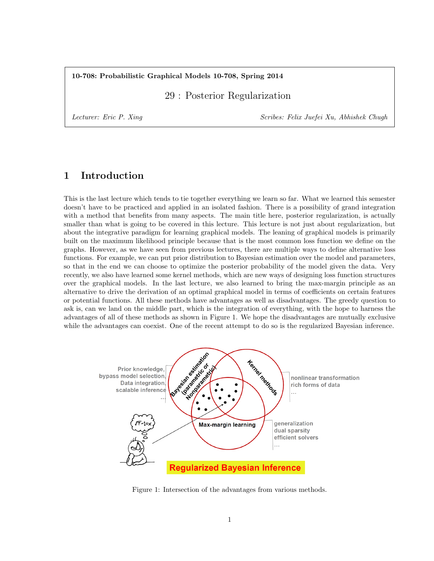#### 10-708: Probabilistic Graphical Models 10-708, Spring 2014

29 : Posterior Regularization

Lecturer: Eric P. Xing Scribes: Felix Juefei Xu, Abhishek Chugh

# 1 Introduction

This is the last lecture which tends to tie together everything we learn so far. What we learned this semester doesn't have to be practiced and applied in an isolated fashion. There is a possibility of grand integration with a method that benefits from many aspects. The main title here, posterior regularization, is actually smaller than what is going to be covered in this lecture. This lecture is not just about regularization, but about the integrative paradigm for learning graphical models. The leaning of graphical models is primarily built on the maximum likelihood principle because that is the most common loss function we define on the graphs. However, as we have seen from previous lectures, there are multiple ways to define alternative loss functions. For example, we can put prior distribution to Bayesian estimation over the model and parameters, so that in the end we can choose to optimize the posterior probability of the model given the data. Very recently, we also have learned some kernel methods, which are new ways of designing loss function structures over the graphical models. In the last lecture, we also learned to bring the max-margin principle as an alternative to drive the derivation of an optimal graphical model in terms of coefficients on certain features or potential functions. All these methods have advantages as well as disadvantages. The greedy question to ask is, can we land on the middle part, which is the integration of everything, with the hope to harness the advantages of all of these methods as shown in Figure 1. We hope the disadvantages are mutually exclusive while the advantages can coexist. One of the recent attempt to do so is the regularized Bayesian inference.



Figure 1: Intersection of the advantages from various methods.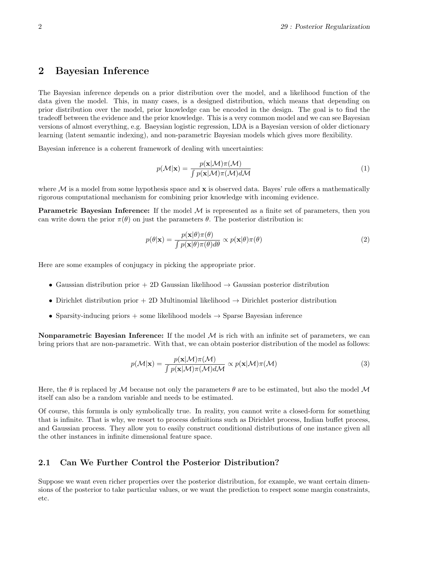## 2 Bayesian Inference

The Bayesian inference depends on a prior distribution over the model, and a likelihood function of the data given the model. This, in many cases, is a designed distribution, which means that depending on prior distribution over the model, prior knowledge can be encoded in the design. The goal is to find the tradeoff between the evidence and the prior knowledge. This is a very common model and we can see Bayesian versions of almost everything, e.g. Baeysian logistic regression, LDA is a Bayesian version of older dictionary learning (latent semantic indexing), and non-parametric Bayesian models which gives more flexibility.

Bayesian inference is a coherent framework of dealing with uncertainties:

$$
p(\mathcal{M}|\mathbf{x}) = \frac{p(\mathbf{x}|\mathcal{M})\pi(\mathcal{M})}{\int p(\mathbf{x}|\mathcal{M})\pi(\mathcal{M})d\mathcal{M}}
$$
(1)

where  $\mathcal M$  is a model from some hypothesis space and  $\bf x$  is observed data. Bayes' rule offers a mathematically rigorous computational mechanism for combining prior knowledge with incoming evidence.

**Parametric Bayesian Inference:** If the model  $M$  is represented as a finite set of parameters, then you can write down the prior  $\pi(\theta)$  on just the parameters  $\theta$ . The posterior distribution is:

$$
p(\theta|\mathbf{x}) = \frac{p(\mathbf{x}|\theta)\pi(\theta)}{\int p(\mathbf{x}|\theta)\pi(\theta)d\theta} \propto p(\mathbf{x}|\theta)\pi(\theta)
$$
\n(2)

Here are some examples of conjugacy in picking the appropriate prior.

- Gaussian distribution prior + 2D Gaussian likelihood  $\rightarrow$  Gaussian posterior distribution
- Dirichlet distribution prior + 2D Multinomial likelihood  $\rightarrow$  Dirichlet posterior distribution
- Sparsity-inducing priors  $+$  some likelihood models  $\rightarrow$  Sparse Bayesian inference

**Nonparametric Bayesian Inference:** If the model  $M$  is rich with an infinite set of parameters, we can bring priors that are non-parametric. With that, we can obtain posterior distribution of the model as follows:

$$
p(\mathcal{M}|\mathbf{x}) = \frac{p(\mathbf{x}|\mathcal{M})\pi(\mathcal{M})}{\int p(\mathbf{x}|\mathcal{M})\pi(\mathcal{M})d\mathcal{M}} \propto p(\mathbf{x}|\mathcal{M})\pi(\mathcal{M})
$$
(3)

Here, the  $\theta$  is replaced by M because not only the parameters  $\theta$  are to be estimated, but also the model M itself can also be a random variable and needs to be estimated.

Of course, this formula is only symbolically true. In reality, you cannot write a closed-form for something that is infinite. That is why, we resort to process definitions such as Dirichlet process, Indian buffet process, and Gaussian process. They allow you to easily construct conditional distributions of one instance given all the other instances in infinite dimensional feature space.

#### 2.1 Can We Further Control the Posterior Distribution?

Suppose we want even richer properties over the posterior distribution, for example, we want certain dimensions of the posterior to take particular values, or we want the prediction to respect some margin constraints, etc.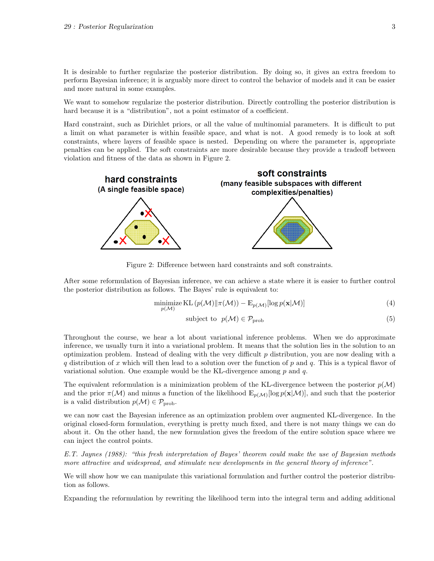It is desirable to further regularize the posterior distribution. By doing so, it gives an extra freedom to perform Bayesian inference; it is arguably more direct to control the behavior of models and it can be easier and more natural in some examples.

We want to somehow regularize the posterior distribution. Directly controlling the posterior distribution is hard because it is a "distribution", not a point estimator of a coefficient.

Hard constraint, such as Dirichlet priors, or all the value of multinomial parameters. It is difficult to put a limit on what parameter is within feasible space, and what is not. A good remedy is to look at soft constraints, where layers of feasible space is nested. Depending on where the parameter is, appropriate penalties can be applied. The soft constraints are more desirable because they provide a tradeoff between violation and fitness of the data as shown in Figure 2.



Figure 2: Difference between hard constraints and soft constraints.

After some reformulation of Bayesian inference, we can achieve a state where it is easier to further control the posterior distribution as follows. The Bayes' rule is equivalent to:

$$
\underset{p(\mathcal{M})}{\text{minimize}} \text{KL}\left(p(\mathcal{M})||\pi(\mathcal{M})\right) - \mathbb{E}_{p(\mathcal{M})}[\log p(\mathbf{x}|\mathcal{M})] \tag{4}
$$

subject to 
$$
p(\mathcal{M}) \in \mathcal{P}_{\text{prob}}
$$
 (5)

Throughout the course, we hear a lot about variational inference problems. When we do approximate inference, we usually turn it into a variational problem. It means that the solution lies in the solution to an optimization problem. Instead of dealing with the very difficult  $p$  distribution, you are now dealing with a q distribution of x which will then lead to a solution over the function of p and q. This is a typical flavor of variational solution. One example would be the KL-divergence among  $p$  and  $q$ .

The equivalent reformulation is a minimization problem of the KL-divergence between the posterior  $p(\mathcal{M})$ and the prior  $\pi(\mathcal{M})$  and minus a function of the likelihood  $\mathbb{E}_{p(\mathcal{M})}[\log p(\mathbf{x}|\mathcal{M})]$ , and such that the posterior is a valid distribution  $p(\mathcal{M}) \in \mathcal{P}_{\text{prob}}$ .

we can now cast the Bayesian inference as an optimization problem over augmented KL-divergence. In the original closed-form formulation, everything is pretty much fixed, and there is not many things we can do about it. On the other hand, the new formulation gives the freedom of the entire solution space where we can inject the control points.

E.T. Jaynes (1988): "this fresh interpretation of Bayes' theorem could make the use of Bayesian methods more attractive and widespread, and stimulate new developments in the general theory of inference".

We will show how we can manipulate this variational formulation and further control the posterior distribution as follows.

Expanding the reformulation by rewriting the likelihood term into the integral term and adding additional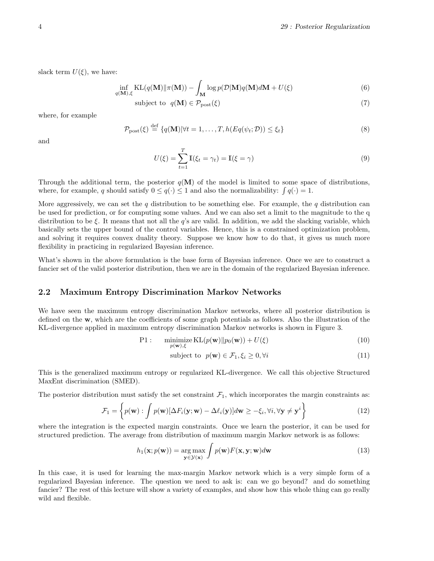slack term  $U(\xi)$ , we have:

$$
\inf_{q(\mathbf{M}),\xi} \mathrm{KL}(q(\mathbf{M}) \| \pi(\mathbf{M})) - \int_{\mathbf{M}} \log p(\mathcal{D}|\mathbf{M}) q(\mathbf{M}) d\mathbf{M} + U(\xi)
$$
\n(6)

$$
subject to q(M) \in \mathcal{P}_{\text{post}}(\xi)
$$
\n
$$
\tag{7}
$$

where, for example

$$
\mathcal{P}_{\text{post}}(\xi) \stackrel{\text{def}}{=} \{q(\mathbf{M}) | \forall t = 1, \dots, T, h(Eq(\psi_t; \mathcal{D})) \le \xi_t\} \tag{8}
$$

and

$$
U(\xi) = \sum_{t=1}^{T} \mathbb{I}(\xi_t = \gamma_t) = \mathbb{I}(\xi = \gamma)
$$
\n(9)

Through the additional term, the posterior  $q(\mathbf{M})$  of the model is limited to some space of distributions, where, for example, q should satisfy  $0 \le q(\cdot) \le 1$  and also the normalizability:  $\int q(\cdot) = 1$ .

More aggressively, we can set the  $q$  distribution to be something else. For example, the  $q$  distribution can be used for prediction, or for computing some values. And we can also set a limit to the magnitude to the q distribution to be  $\xi$ . It means that not all the q's are valid. In addition, we add the slacking variable, which basically sets the upper bound of the control variables. Hence, this is a constrained optimization problem, and solving it requires convex duality theory. Suppose we know how to do that, it gives us much more flexibility in practicing in regularized Bayesian inference.

What's shown in the above formulation is the base form of Bayesian inference. Once we are to construct a fancier set of the valid posterior distribution, then we are in the domain of the regularized Bayesian inference.

#### 2.2 Maximum Entropy Discrimination Markov Networks

We have seen the maximum entropy discrimination Markov networks, where all posterior distribution is defined on the w, which are the coefficients of some graph potentials as follows. Also the illustration of the KL-divergence applied in maximum entropy discrimination Markov networks is shown in Figure 3.

P1: minimize 
$$
\text{KL}(p(\mathbf{w})||p_0(\mathbf{w})) + U(\xi)
$$
 (10)

subject to 
$$
p(\mathbf{w}) \in \mathcal{F}_1, \xi_i \geq 0, \forall i
$$
 (11)

This is the generalized maximum entropy or regularized KL-divergence. We call this objective Structured MaxEnt discrimination (SMED).

The posterior distribution must satisfy the set constraint  $\mathcal{F}_1$ , which incorporates the margin constraints as:

$$
\mathcal{F}_1 = \left\{ p(\mathbf{w}) : \int p(\mathbf{w}) [\Delta F_i(\mathbf{y}; \mathbf{w}) - \Delta \ell_i(\mathbf{y})] d\mathbf{w} \geq -\xi_i, \forall i, \forall \mathbf{y} \neq \mathbf{y}^i \right\}
$$
(12)

where the integration is the expected margin constraints. Once we learn the posterior, it can be used for structured prediction. The average from distribution of maximum margin Markov network is as follows:

$$
h_1(\mathbf{x}; p(\mathbf{w})) = \underset{\mathbf{y} \in \mathcal{Y}(\mathbf{x})}{\arg \max} \int p(\mathbf{w}) F(\mathbf{x}, \mathbf{y}; \mathbf{w}) d\mathbf{w}
$$
(13)

In this case, it is used for learning the max-margin Markov network which is a very simple form of a regularized Bayesian inference. The question we need to ask is: can we go beyond? and do something fancier? The rest of this lecture will show a variety of examples, and show how this whole thing can go really wild and flexible.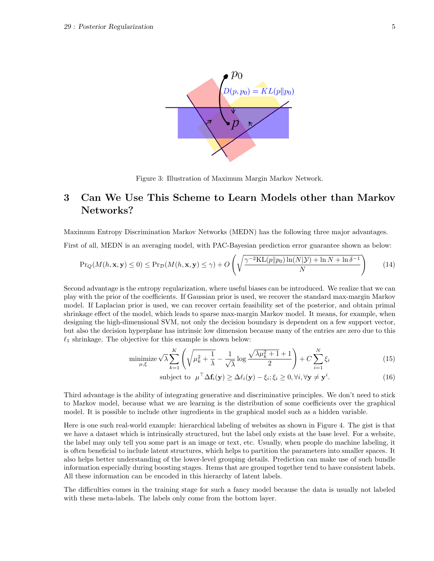

Figure 3: Illustration of Maximum Margin Markov Network.

# 3 Can We Use This Scheme to Learn Models other than Markov Networks?

Maximum Entropy Discrimination Markov Networks (MEDN) has the following three major advantages.

First of all, MEDN is an averaging model, with PAC-Bayesian prediction error guarantee shown as below:

$$
\Pr_{Q}(M(h, \mathbf{x}, \mathbf{y}) \le 0) \le \Pr_{\mathcal{D}}(M(h, \mathbf{x}, \mathbf{y}) \le \gamma) + O\left(\sqrt{\frac{\gamma^{-2}KL(p||p_0)\ln(N|\mathcal{Y}) + \ln N + \ln \delta^{-1}}{N}}\right)
$$
(14)

Second advantage is the entropy regularization, where useful biases can be introduced. We realize that we can play with the prior of the coefficients. If Gaussian prior is used, we recover the standard max-margin Markov model. If Laplacian prior is used, we can recover certain feasibility set of the posterior, and obtain primal shrinkage effect of the model, which leads to sparse max-margin Markov model. It means, for example, when designing the high-dimensional SVM, not only the decision boundary is dependent on a few support vector, but also the decision hyperplane has intrinsic low dimension because many of the entries are zero due to this  $\ell_1$  shrinkage. The objective for this example is shown below:

$$
\underset{\mu,\xi}{\text{minimize}} \sqrt{\lambda} \sum_{k=1}^{K} \left( \sqrt{\mu_k^2 + \frac{1}{\lambda}} - \frac{1}{\sqrt{\lambda}} \log \frac{\sqrt{\lambda \mu_k^2 + 1} + 1}{2} \right) + C \sum_{i=1}^{N} \xi_i \tag{15}
$$

subject to 
$$
\mu^{\top} \Delta \mathbf{f}_i(\mathbf{y}) \geq \Delta \ell_i(\mathbf{y}) - \xi_i; \xi_i \geq 0, \forall i, \forall \mathbf{y} \neq \mathbf{y}^i.
$$
 (16)

Third advantage is the ability of integrating generative and discriminative principles. We don't need to stick to Markov model, because what we are learning is the distribution of some coefficients over the graphical model. It is possible to include other ingredients in the graphical model such as a hidden variable.

Here is one such real-world example: hierarchical labeling of websites as shown in Figure 4. The gist is that we have a dataset which is intrinsically structured, but the label only exists at the base level. For a website, the label may only tell you some part is an image or text, etc. Usually, when people do machine labeling, it is often beneficial to include latent structures, which helps to partition the parameters into smaller spaces. It also helps better understanding of the lower-level grouping details. Prediction can make use of such bundle information especially during boosting stages. Items that are grouped together tend to have consistent labels. All these information can be encoded in this hierarchy of latent labels.

The difficulties comes in the training stage for such a fancy model because the data is usually not labeled with these meta-labels. The labels only come from the bottom layer.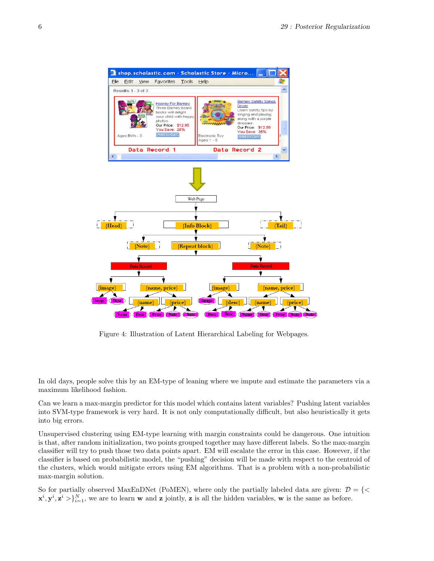

Figure 4: Illustration of Latent Hierarchical Labeling for Webpages.

In old days, people solve this by an EM-type of leaning where we impute and estimate the parameters via a maximum likelihood fashion.

Can we learn a max-margin predictor for this model which contains latent variables? Pushing latent variables into SVM-type framework is very hard. It is not only computationally difficult, but also heuristically it gets into big errors.

Unsupervised clustering using EM-type learning with margin constraints could be dangerous. One intuition is that, after random initialization, two points grouped together may have different labels. So the max-margin classifier will try to push those two data points apart. EM will escalate the error in this case. However, if the classifier is based on probabilistic model, the "pushing" decision will be made with respect to the centroid of the clusters, which would mitigate errors using EM algorithms. That is a problem with a non-probabilistic max-margin solution.

So for partially observed MaxEnDNet (PoMEN), where only the partially labeled data are given:  $\mathcal{D} = \{ \leq \mathcal{D} \leq \mathcal{D} \}$  $\mathbf{x}^i, \mathbf{y}^i, \mathbf{z}^i > \}_{i=1}^N$ , we are to learn w and z jointly, z is all the hidden variables, w is the same as before.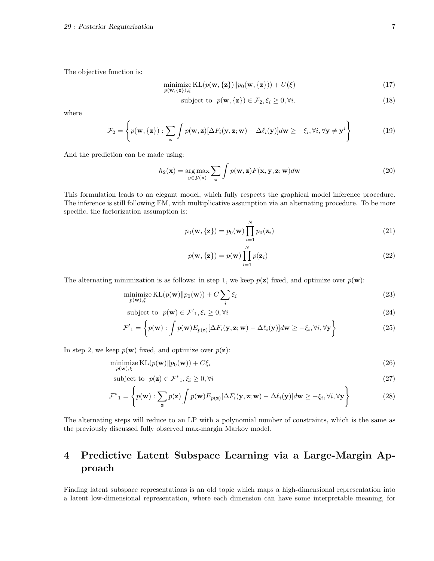The objective function is:

$$
\underset{p(\mathbf{w}, \{\mathbf{z}\}), \xi}{\text{minimize}} \text{KL}(p(\mathbf{w}, \{\mathbf{z}\}) \| p_0(\mathbf{w}, \{\mathbf{z}\})) + U(\xi) \tag{17}
$$

subject to 
$$
p(\mathbf{w}, {\mathbf{z}}) \in \mathcal{F}_2, \xi_i \geq 0, \forall i.
$$
 (18)

where

$$
\mathcal{F}_2 = \left\{ p(\mathbf{w}, \{\mathbf{z}\}) : \sum_{\mathbf{z}} \int p(\mathbf{w}, \mathbf{z}) [\Delta F_i(\mathbf{y}, \mathbf{z}; \mathbf{w}) - \Delta \ell_i(\mathbf{y})] d\mathbf{w} \geq -\xi_i, \forall i, \forall \mathbf{y} \neq \mathbf{y}^i \right\}
$$
(19)

And the prediction can be made using:

$$
h_2(\mathbf{x}) = \underset{y \in \mathcal{Y}(\mathbf{x})}{\arg \max} \sum_{\mathbf{z}} \int p(\mathbf{w}, \mathbf{z}) F(\mathbf{x}, \mathbf{y}, \mathbf{z}; \mathbf{w}) d\mathbf{w}
$$
(20)

This formulation leads to an elegant model, which fully respects the graphical model inference procedure. The inference is still following EM, with multiplicative assumption via an alternating procedure. To be more specific, the factorization assumption is:

$$
p_0(\mathbf{w}, {\mathbf{z}}) = p_0(\mathbf{w}) \prod_{i=1}^N p_0(\mathbf{z}_i)
$$
\n(21)

$$
p(\mathbf{w}, {\mathbf{z}}) = p(\mathbf{w}) \prod_{i=1}^{N} p(\mathbf{z}_i)
$$
\n(22)

The alternating minimization is as follows: in step 1, we keep  $p(\mathbf{z})$  fixed, and optimize over  $p(\mathbf{w})$ :

$$
\underset{p(\mathbf{w}), \xi}{\text{minimize}} \, \text{KL}(p(\mathbf{w}) \| p_0(\mathbf{w})) + C \sum_{i} \xi_i \tag{23}
$$

subject to 
$$
p(\mathbf{w}) \in \mathcal{F}'_1, \xi_i \geq 0, \forall i
$$
 (24)

$$
\mathcal{F}'_1 = \left\{ p(\mathbf{w}) : \int p(\mathbf{w}) E_{p(\mathbf{z})} [\Delta F_i(\mathbf{y}, \mathbf{z}; \mathbf{w}) - \Delta \ell_i(\mathbf{y})] d\mathbf{w} \geq -\xi_i, \forall i, \forall \mathbf{y} \right\}
$$
(25)

In step 2, we keep  $p(\mathbf{w})$  fixed, and optimize over  $p(\mathbf{z})$ :

$$
\underset{p(\mathbf{w}), \xi}{\text{minimize}} \, \text{KL}(p(\mathbf{w}) \| p_0(\mathbf{w})) + C\xi_i \tag{26}
$$

subject to  $p(\mathbf{z}) \in \mathcal{F}^*$ ,  $\xi_i \geq 0, \forall i$  (27)

$$
\mathcal{F}^*_{1} = \left\{ p(\mathbf{w}) : \sum_{\mathbf{z}} p(\mathbf{z}) \int p(\mathbf{w}) E_{p(\mathbf{z})} [\Delta F_i(\mathbf{y}, \mathbf{z}; \mathbf{w}) - \Delta \ell_i(\mathbf{y})] d\mathbf{w} \geq -\xi_i, \forall i, \forall \mathbf{y} \right\}
$$
(28)

The alternating steps will reduce to an LP with a polynomial number of constraints, which is the same as the previously discussed fully observed max-margin Markov model.

# 4 Predictive Latent Subspace Learning via a Large-Margin Approach

Finding latent subspace representations is an old topic which maps a high-dimensional representation into a latent low-dimensional representation, where each dimension can have some interpretable meaning, for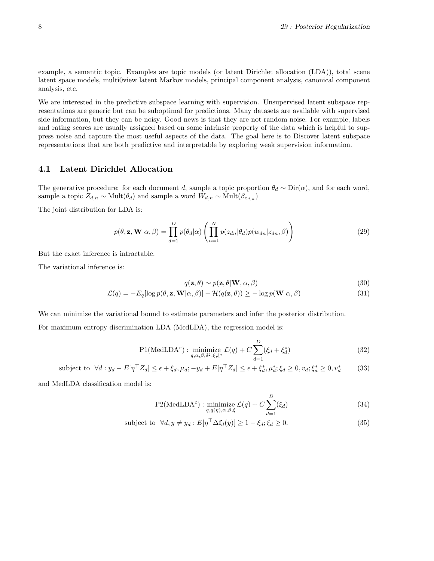example, a semantic topic. Examples are topic models (or latent Dirichlet allocation (LDA)), total scene latent space models, multi0view latent Markov models, principal component analysis, canonical component analysis, etc.

We are interested in the predictive subspace learning with supervision. Unsupervised latent subspace representations are generic but can be suboptimal for predictions. Many datasets are available with supervised side information, but they can be noisy. Good news is that they are not random noise. For example, labels and rating scores are usually assigned based on some intrinsic property of the data which is helpful to suppress noise and capture the most useful aspects of the data. The goal here is to Discover latent subspace representations that are both predictive and interpretable by exploring weak supervision information.

## 4.1 Latent Dirichlet Allocation

The generative procedure: for each document d, sample a topic proportion  $\theta_d \sim \text{Dir}(\alpha)$ , and for each word, sample a topic  $Z_{d,n} \sim \text{Mult}(\theta_d)$  and sample a word  $W_{d,n} \sim \text{Mult}(\beta_{z_{d,n}})$ 

The joint distribution for LDA is:

$$
p(\theta, \mathbf{z}, \mathbf{W} | \alpha, \beta) = \prod_{d=1}^{D} p(\theta_d | \alpha) \left( \prod_{n=1}^{N} p(z_{dn} | \theta_d) p(w_{dn} | z_{dn}, \beta) \right)
$$
(29)

But the exact inference is intractable.

The variational inference is:

$$
q(\mathbf{z}, \theta) \sim p(\mathbf{z}, \theta | \mathbf{W}, \alpha, \beta)
$$
\n(30)

$$
\mathcal{L}(q) = -E_q[\log p(\theta, \mathbf{z}, \mathbf{W} | \alpha, \beta)] - \mathcal{H}(q(\mathbf{z}, \theta)) \ge -\log p(\mathbf{W} | \alpha, \beta)
$$
\n(31)

We can minimize the variational bound to estimate parameters and infer the posterior distribution.

For maximum entropy discrimination LDA (MedLDA), the regression model is:

$$
P1(\text{MedLDA}^r): \underset{q,\alpha,\beta,\delta^2,\xi,\xi^*}{\text{minimize}} \mathcal{L}(q) + C \sum_{d=1}^D (\xi_d + \xi_d^*)
$$
(32)

subject to 
$$
\forall d : y_d - E[\eta^\top Z_d] \le \epsilon + \xi_d, \mu_d; -y_d + E[\eta^\top Z_d] \le \epsilon + \xi_d^*, \mu_d^*; \xi_d \ge 0, v_d; \xi_d^* \ge 0, v_d^* \tag{33}
$$

and MedLDA classification model is:

$$
P2(\text{MedLDA}^c): \underset{q,q(\eta),\alpha,\beta,\xi}{\text{minimize}} \mathcal{L}(q) + C \sum_{d=1}^{D} (\xi_d)
$$
 (34)

subject to 
$$
\forall d, y \neq y_d : E[\eta^\top \Delta \mathbf{f}_d(y)] \geq 1 - \xi_d; \xi_d \geq 0.
$$
 (35)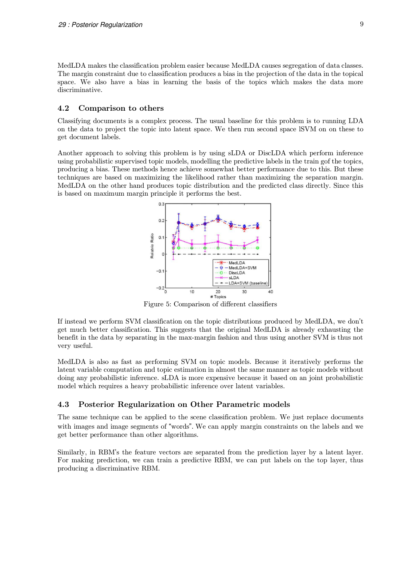MedLDA makes the classification problem easier because MedLDA causes segregation of data classes. The margin constraint due to classification produces a bias in the projection of the data in the topical space. We also have a bias in learning the basis of the topics which makes the data more discriminative.

#### 4.2 Comparison to others

Classifying documents is a complex process. The usual baseline for this problem is to running LDA on the data to project the topic into latent space. We then run second space lSVM on on these to get document labels.

Another approach to solving this problem is by using sLDA or DiscLDA which perform inference using probabilistic supervised topic models, modelling the predictive labels in the train gof the topics, producing a bias. These methods hence achieve somewhat better performance due to this. But these techniques are based on maximizing the likelihood rather than maximizing the separation margin. MedLDA on the other hand produces topic distribution and the predicted class directly. Since this is based on maximum margin principle it performs the best.



Figure 5: Comparison of different classifiers

If instead we perform SVM classification on the topic distributions produced by MedLDA, we don't get much better classification. This suggests that the original MedLDA is already exhausting the benefit in the data by separating in the max-margin fashion and thus using another SVM is thus not very useful.

MedLDA is also as fast as performing SVM on topic models. Because it iteratively performs the latent variable computation and topic estimation in almost the same manner as topic models without doing any probabilistic inference. sLDA is more expensive because it based on an joint probabilistic model which requires a heavy probabilistic inference over latent variables.

#### 4.3 Posterior Regularization on Other Parametric models

The same technique can be applied to the scene classification problem. We just replace documents with images and image segments of "words". We can apply margin constraints on the labels and we get better performance than other algorithms.

Similarly, in RBM's the feature vectors are separated from the prediction layer by a latent layer. For making prediction, we can train a predictive RBM, we can put labels on the top layer, thus producing a discriminative RBM.